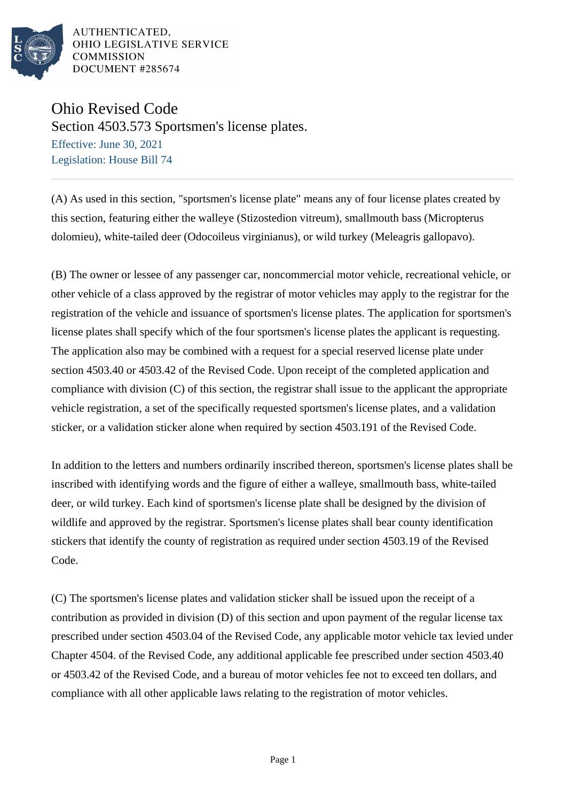

AUTHENTICATED. OHIO LEGISLATIVE SERVICE **COMMISSION** DOCUMENT #285674

Ohio Revised Code Section 4503.573 Sportsmen's license plates. Effective: June 30, 2021 Legislation: House Bill 74

(A) As used in this section, "sportsmen's license plate" means any of four license plates created by this section, featuring either the walleye (Stizostedion vitreum), smallmouth bass (Micropterus dolomieu), white-tailed deer (Odocoileus virginianus), or wild turkey (Meleagris gallopavo).

(B) The owner or lessee of any passenger car, noncommercial motor vehicle, recreational vehicle, or other vehicle of a class approved by the registrar of motor vehicles may apply to the registrar for the registration of the vehicle and issuance of sportsmen's license plates. The application for sportsmen's license plates shall specify which of the four sportsmen's license plates the applicant is requesting. The application also may be combined with a request for a special reserved license plate under section 4503.40 or 4503.42 of the Revised Code. Upon receipt of the completed application and compliance with division (C) of this section, the registrar shall issue to the applicant the appropriate vehicle registration, a set of the specifically requested sportsmen's license plates, and a validation sticker, or a validation sticker alone when required by section 4503.191 of the Revised Code.

In addition to the letters and numbers ordinarily inscribed thereon, sportsmen's license plates shall be inscribed with identifying words and the figure of either a walleye, smallmouth bass, white-tailed deer, or wild turkey. Each kind of sportsmen's license plate shall be designed by the division of wildlife and approved by the registrar. Sportsmen's license plates shall bear county identification stickers that identify the county of registration as required under section 4503.19 of the Revised Code.

(C) The sportsmen's license plates and validation sticker shall be issued upon the receipt of a contribution as provided in division (D) of this section and upon payment of the regular license tax prescribed under section 4503.04 of the Revised Code, any applicable motor vehicle tax levied under Chapter 4504. of the Revised Code, any additional applicable fee prescribed under section 4503.40 or 4503.42 of the Revised Code, and a bureau of motor vehicles fee not to exceed ten dollars, and compliance with all other applicable laws relating to the registration of motor vehicles.